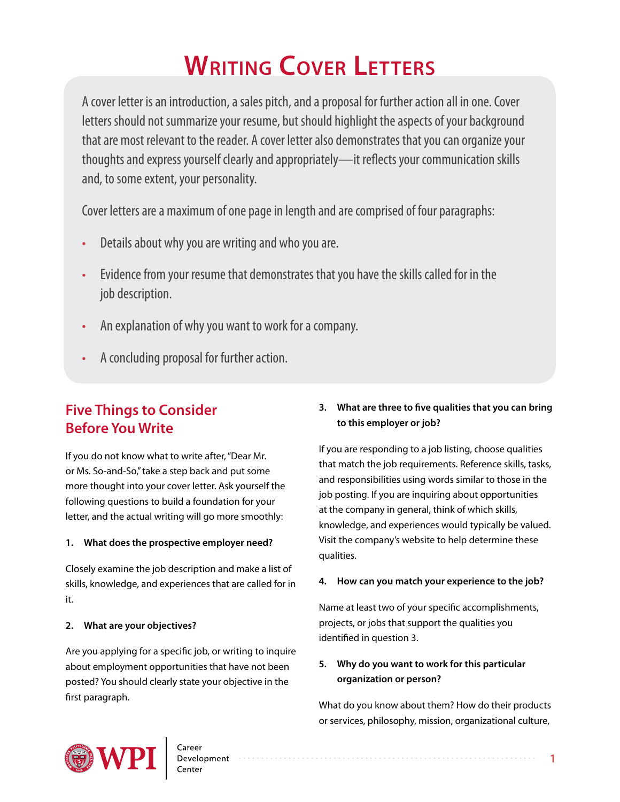# **Writing Cover Letters**

A cover letter is an introduction, a sales pitch, and a proposal for further action all in one. Cover letters should not summarize your resume, but should highlight the aspects of your background that are most relevant to the reader. A cover letter also demonstrates that you can organize your thoughts and express yourself clearly and appropriately—it reflects your communication skills and, to some extent, your personality.

Cover letters are a maximum of one page in length and are comprised of four paragraphs:

- Details about why you are writing and who you are.
- Evidence from your resume that demonstrates that you have the skills called for in the job description.
- An explanation of why you want to work for a company.
- A concluding proposal for further action.

# **Five Things to Consider Before You Write**

If you do not know what to write after, "Dear Mr. or Ms. So-and-So," take a step back and put some more thought into your cover letter. Ask yourself the following questions to build a foundation for your letter, and the actual writing will go more smoothly:

#### **1. What does the prospective employer need?**

Closely examine the job description and make a list of skills, knowledge, and experiences that are called for in it.

#### **2. What are your objectives?**

Are you applying for a specific job, or writing to inquire about employment opportunities that have not been posted? You should clearly state your objective in the first paragraph.

### **3. What are three to five qualities that you can bring to this employer or job?**

If you are responding to a job listing, choose qualities that match the job requirements. Reference skills, tasks, and responsibilities using words similar to those in the job posting. If you are inquiring about opportunities at the company in general, think of which skills, knowledge, and experiences would typically be valued. Visit the company's website to help determine these qualities.

#### **4. How can you match your experience to the job?**

Name at least two of your specific accomplishments, projects, or jobs that support the qualities you identified in question 3.

### **5. Why do you want to work for this particular organization or person?**

What do you know about them? How do their products or services, philosophy, mission, organizational culture,

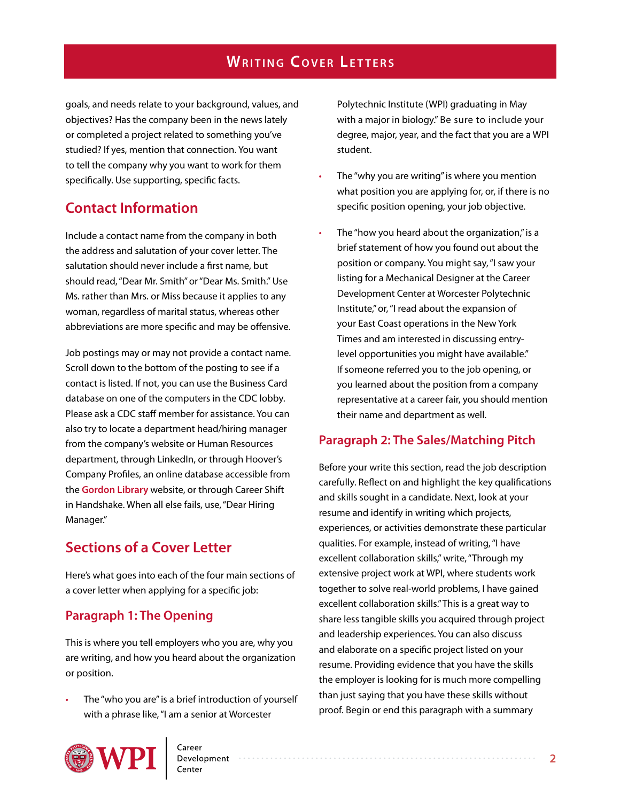# **WRITING COVER LETTERS**

goals, and needs relate to your background, values, and objectives? Has the company been in the news lately or completed a project related to something you've studied? If yes, mention that connection. You want to tell the company why you want to work for them specifically. Use supporting, specific facts.

# **Contact Information**

Include a contact name from the company in both the address and salutation of your cover letter. The salutation should never include a first name, but should read, "Dear Mr. Smith" or "Dear Ms. Smith." Use Ms. rather than Mrs. or Miss because it applies to any woman, regardless of marital status, whereas other abbreviations are more specific and may be offensive.

Job postings may or may not provide a contact name. Scroll down to the bottom of the posting to see if a contact is listed. If not, you can use the Business Card database on one of the computers in the CDC lobby. Please ask a CDC staff member for assistance. You can also try to locate a department head/hiring manager from the company's website or Human Resources department, through LinkedIn, or through Hoover's Company Profiles, an online database accessible from the **[Gordon Library](http://libguides.wpi.edu/company)** website, or through Career Shift in Handshake. When all else fails, use, "Dear Hiring Manager."

# **Sections of a Cover Letter**

Here's what goes into each of the four main sections of a cover letter when applying for a specific job:

### **Paragraph 1: The Opening**

This is where you tell employers who you are, why you are writing, and how you heard about the organization or position.

The "who you are" is a brief introduction of yourself with a phrase like, "I am a senior at Worcester

Polytechnic Institute (WPI) graduating in May with a major in biology." Be sure to include your degree, major, year, and the fact that you are a WPI student.

- The "why you are writing" is where you mention what position you are applying for, or, if there is no specific position opening, your job objective.
- The "how you heard about the organization," is a brief statement of how you found out about the position or company. You might say, "I saw your listing for a Mechanical Designer at the Career Development Center at Worcester Polytechnic Institute," or, "I read about the expansion of your East Coast operations in the New York Times and am interested in discussing entrylevel opportunities you might have available." If someone referred you to the job opening, or you learned about the position from a company representative at a career fair, you should mention their name and department as well.

#### **Paragraph 2: The Sales/Matching Pitch**

Before your write this section, read the job description carefully. Reflect on and highlight the key qualifications and skills sought in a candidate. Next, look at your resume and identify in writing which projects, experiences, or activities demonstrate these particular qualities. For example, instead of writing, "I have excellent collaboration skills," write, "Through my extensive project work at WPI, where students work together to solve real-world problems, I have gained excellent collaboration skills." This is a great way to share less tangible skills you acquired through project and leadership experiences. You can also discuss and elaborate on a specific project listed on your resume. Providing evidence that you have the skills the employer is looking for is much more compelling than just saying that you have these skills without proof. Begin or end this paragraph with a summary

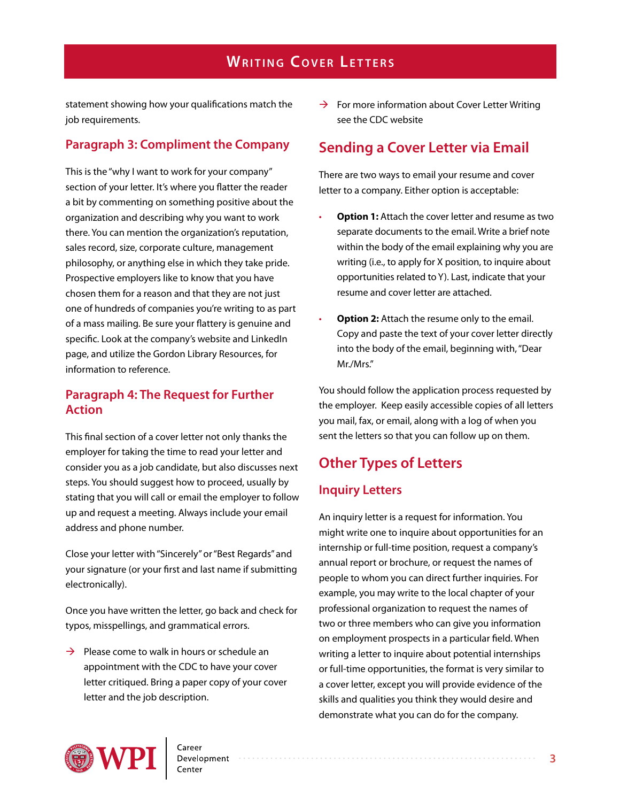# **WRITING COVER LETTERS**

statement showing how your qualifications match the job requirements.

### **Paragraph 3: Compliment the Company**

This is the "why I want to work for your company" section of your letter. It's where you flatter the reader a bit by commenting on something positive about the organization and describing why you want to work there. You can mention the organization's reputation, sales record, size, corporate culture, management philosophy, or anything else in which they take pride. Prospective employers like to know that you have chosen them for a reason and that they are not just one of hundreds of companies you're writing to as part of a mass mailing. Be sure your flattery is genuine and specific. Look at the company's website and LinkedIn page, and utilize the Gordon Library Resources, for information to reference.

### **Paragraph 4: The Request for Further Action**

This final section of a cover letter not only thanks the employer for taking the time to read your letter and consider you as a job candidate, but also discusses next steps. You should suggest how to proceed, usually by stating that you will call or email the employer to follow up and request a meeting. Always include your email address and phone number.

Close your letter with "Sincerely" or "Best Regards" and your signature (or your first and last name if submitting electronically).

Once you have written the letter, go back and check for typos, misspellings, and grammatical errors.

 $\rightarrow$  Please come to walk in hours or schedule an appointment with the CDC to have your cover letter critiqued. Bring a paper copy of your cover letter and the job description.

 $\rightarrow$  For more information about Cover Letter Writing see the CDC website

### **Sending a Cover Letter via Email**

There are two ways to email your resume and cover letter to a company. Either option is acceptable:

- **Option 1:** Attach the cover letter and resume as two separate documents to the email. Write a brief note within the body of the email explaining why you are writing (i.e., to apply for X position, to inquire about opportunities related to Y). Last, indicate that your resume and cover letter are attached.
- **Option 2:** Attach the resume only to the email. Copy and paste the text of your cover letter directly into the body of the email, beginning with, "Dear Mr./Mrs."

You should follow the application process requested by the employer. Keep easily accessible copies of all letters you mail, fax, or email, along with a log of when you sent the letters so that you can follow up on them.

# **Other Types of Letters**

#### **Inquiry Letters**

An inquiry letter is a request for information. You might write one to inquire about opportunities for an internship or full-time position, request a company's annual report or brochure, or request the names of people to whom you can direct further inquiries. For example, you may write to the local chapter of your professional organization to request the names of two or three members who can give you information on employment prospects in a particular field. When writing a letter to inquire about potential internships or full-time opportunities, the format is very similar to a cover letter, except you will provide evidence of the skills and qualities you think they would desire and demonstrate what you can do for the company.

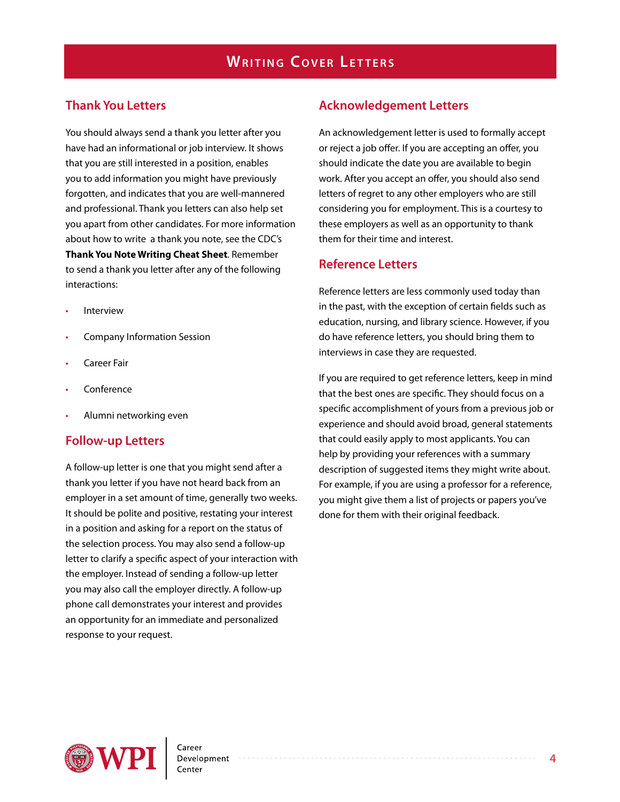### **Thank You Letters**

You should always send a thank you letter after you have had an informational or job interview. It shows that you are still interested in a position, enables you to add information you might have previously forgotten, and indicates that you are well-mannered and professional. Thank you letters can also help set you apart from other candidates. For more information about how to write a thank you note, see the CDC's **Thank You Note Writing Cheat Sheet**. Remember to send a thank you letter after any of the following interactions:

- **Interview**
- Company Information Session
- Career Fair
- Conference
- Alumni networking even

#### **Follow-up Letters**

A follow-up letter is one that you might send after a thank you letter if you have not heard back from an employer in a set amount of time, generally two weeks. It should be polite and positive, restating your interest in a position and asking for a report on the status of the selection process. You may also send a follow-up letter to clarify a specific aspect of your interaction with the employer. Instead of sending a follow-up letter you may also call the employer directly. A follow-up phone call demonstrates your interest and provides an opportunity for an immediate and personalized response to your request.

#### **Acknowledgement Letters**

An acknowledgement letter is used to formally accept or reject a job offer. If you are accepting an offer, you should indicate the date you are available to begin work. After you accept an offer, you should also send letters of regret to any other employers who are still considering you for employment. This is a courtesy to these employers as well as an opportunity to thank them for their time and interest.

#### **Reference Letters**

Reference letters are less commonly used today than in the past, with the exception of certain fields such as education, nursing, and library science. However, if you do have reference letters, you should bring them to interviews in case they are requested.

If you are required to get reference letters, keep in mind that the best ones are specific. They should focus on a specific accomplishment of yours from a previous job or experience and should avoid broad, general statements that could easily apply to most applicants. You can help by providing your references with a summary description of suggested items they might write about. For example, if you are using a professor for a reference, you might give them a list of projects or papers you've done for them with their original feedback.

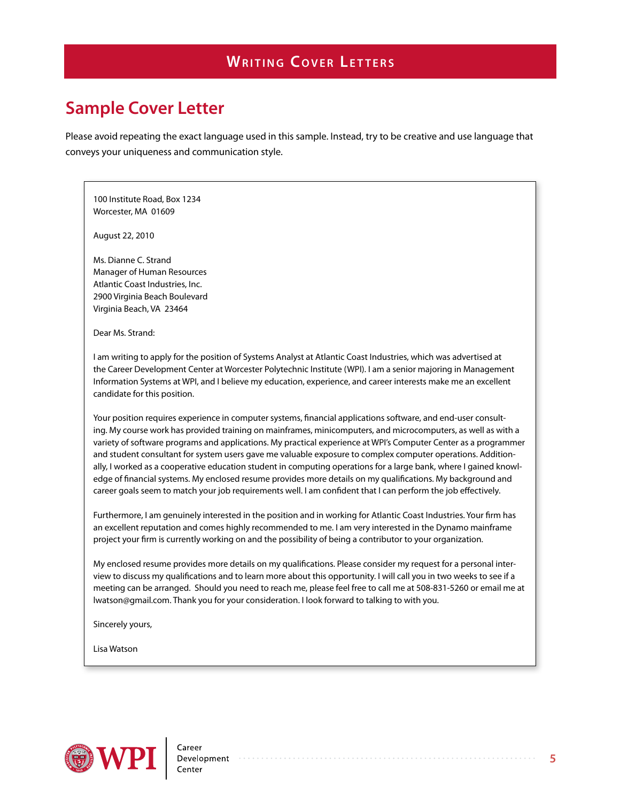# **Sample Cover Letter**

Please avoid repeating the exact language used in this sample. Instead, try to be creative and use language that conveys your uniqueness and communication style.

100 Institute Road, Box 1234 Worcester, MA 01609

August 22, 2010

Ms. Dianne C. Strand Manager of Human Resources Atlantic Coast Industries, Inc. 2900 Virginia Beach Boulevard Virginia Beach, VA 23464

Dear Ms. Strand:

I am writing to apply for the position of Systems Analyst at Atlantic Coast Industries, which was advertised at the Career Development Center at Worcester Polytechnic Institute (WPI). I am a senior majoring in Management Information Systems at WPI, and I believe my education, experience, and career interests make me an excellent candidate for this position.

Your position requires experience in computer systems, financial applications software, and end-user consulting. My course work has provided training on mainframes, minicomputers, and microcomputers, as well as with a variety of software programs and applications. My practical experience at WPI's Computer Center as a programmer and student consultant for system users gave me valuable exposure to complex computer operations. Additionally, I worked as a cooperative education student in computing operations for a large bank, where I gained knowledge of financial systems. My enclosed resume provides more details on my qualifications. My background and career goals seem to match your job requirements well. I am confident that I can perform the job effectively.

Furthermore, I am genuinely interested in the position and in working for Atlantic Coast Industries. Your firm has an excellent reputation and comes highly recommended to me. I am very interested in the Dynamo mainframe project your firm is currently working on and the possibility of being a contributor to your organization.

My enclosed resume provides more details on my qualifications. Please consider my request for a personal interview to discuss my qualifications and to learn more about this opportunity. I will call you in two weeks to see if a meeting can be arranged. Should you need to reach me, please feel free to call me at 508-831-5260 or email me at lwatson@gmail.com. Thank you for your consideration. I look forward to talking to with you.

Sincerely yours,

Lisa Watson

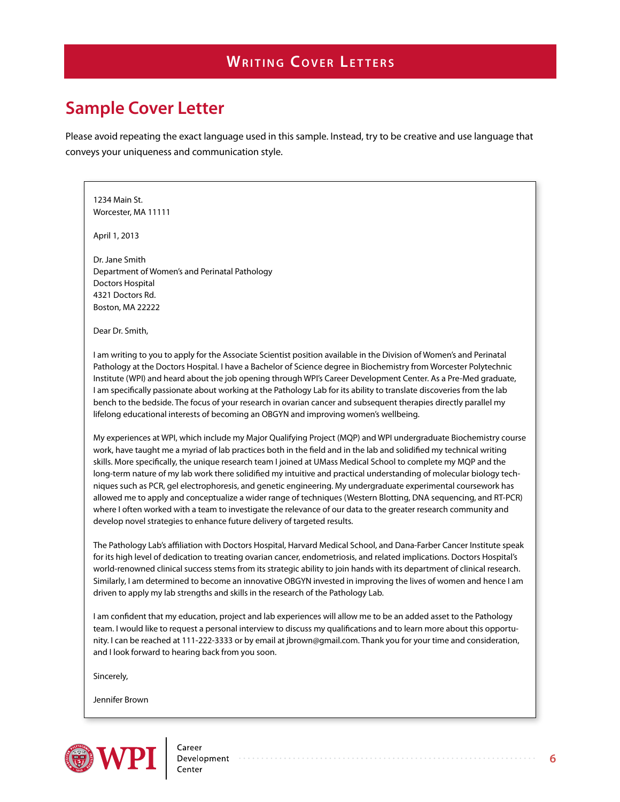# **Sample Cover Letter**

Please avoid repeating the exact language used in this sample. Instead, try to be creative and use language that conveys your uniqueness and communication style.

#### 1234 Main St. Worcester, MA 11111

April 1, 2013

Dr. Jane Smith Department of Women's and Perinatal Pathology Doctors Hospital 4321 Doctors Rd. Boston, MA 22222

Dear Dr. Smith,

I am writing to you to apply for the Associate Scientist position available in the Division of Women's and Perinatal Pathology at the Doctors Hospital. I have a Bachelor of Science degree in Biochemistry from Worcester Polytechnic Institute (WPI) and heard about the job opening through WPI's Career Development Center. As a Pre-Med graduate, I am specifically passionate about working at the Pathology Lab for its ability to translate discoveries from the lab bench to the bedside. The focus of your research in ovarian cancer and subsequent therapies directly parallel my lifelong educational interests of becoming an OBGYN and improving women's wellbeing.

My experiences at WPI, which include my Major Qualifying Project (MQP) and WPI undergraduate Biochemistry course work, have taught me a myriad of lab practices both in the field and in the lab and solidified my technical writing skills. More specifically, the unique research team I joined at UMass Medical School to complete my MQP and the long-term nature of my lab work there solidified my intuitive and practical understanding of molecular biology techniques such as PCR, gel electrophoresis, and genetic engineering. My undergraduate experimental coursework has allowed me to apply and conceptualize a wider range of techniques (Western Blotting, DNA sequencing, and RT-PCR) where I often worked with a team to investigate the relevance of our data to the greater research community and develop novel strategies to enhance future delivery of targeted results.

The Pathology Lab's affiliation with Doctors Hospital, Harvard Medical School, and Dana-Farber Cancer Institute speak for its high level of dedication to treating ovarian cancer, endometriosis, and related implications. Doctors Hospital's world-renowned clinical success stems from its strategic ability to join hands with its department of clinical research. Similarly, I am determined to become an innovative OBGYN invested in improving the lives of women and hence I am driven to apply my lab strengths and skills in the research of the Pathology Lab.

I am confident that my education, project and lab experiences will allow me to be an added asset to the Pathology team. I would like to request a personal interview to discuss my qualifications and to learn more about this opportunity. I can be reached at 111-222-3333 or by email at jbrown@gmail.com. Thank you for your time and consideration, and I look forward to hearing back from you soon.

Sincerely,

Jennifer Brown